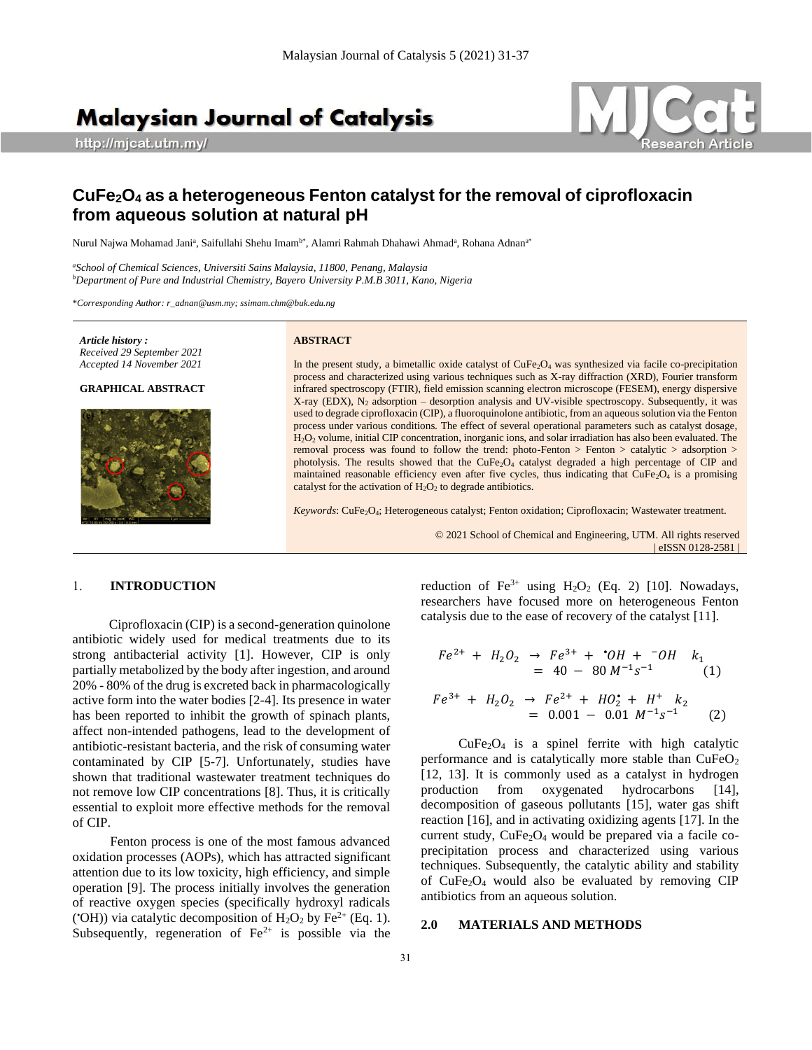# **Malaysian Journal of Catalysis**

http://mjcat.utm.my/



# **CuFe2O<sup>4</sup> as a heterogeneous Fenton catalyst for the removal of ciprofloxacin from aqueous solution at natural pH**

Nurul Najwa Mohamad Jani<sup>a</sup>, Saifullahi Shehu Imam<sup>b\*</sup>, Alamri Rahmah Dhahawi Ahmad<sup>a</sup>, Rohana Adnan<sup>a\*</sup>

*<sup>a</sup>School of Chemical Sciences, Universiti Sains Malaysia, 11800, Penang, Malaysia <sup>b</sup>Department of Pure and Industrial Chemistry, Bayero University P.M.B 3011, Kano, Nigeria*

\**Corresponding Author[: r\\_adnan@usm.my;](mailto:r_adnan@usm.my) [ssimam.chm@buk.edu.ng](mailto:ssimam.chm@buk.edu.ng)*

*Article history : Received 29 September 2021 Accepted 14 November 2021*

**GRAPHICAL ABSTRACT**



#### **ABSTRACT**

In the present study, a bimetallic oxide catalyst of  $CuFe<sub>2</sub>O<sub>4</sub>$  was synthesized via facile co-precipitation process and characterized using various techniques such as X-ray diffraction (XRD), Fourier transform infrared spectroscopy (FTIR), field emission scanning electron microscope (FESEM), energy dispersive X-ray (EDX),  $N_2$  adsorption – desorption analysis and UV-visible spectroscopy. Subsequently, it was used to degrade ciprofloxacin (CIP), a fluoroquinolone antibiotic, from an aqueous solution via the Fenton process under various conditions. The effect of several operational parameters such as catalyst dosage, H2O<sup>2</sup> volume, initial CIP concentration, inorganic ions, and solar irradiation has also been evaluated. The removal process was found to follow the trend: photo-Fenton > Fenton > catalytic > adsorption > photolysis. The results showed that the  $CuFe<sub>2</sub>O<sub>4</sub>$  catalyst degraded a high percentage of CIP and maintained reasonable efficiency even after five cycles, thus indicating that  $CuFe<sub>2</sub>O<sub>4</sub>$  is a promising catalyst for the activation of  $H_2O_2$  to degrade antibiotics.

*Keywords*: CuFe<sub>2</sub>O<sub>4</sub>; Heterogeneous catalyst; Fenton oxidation; Ciprofloxacin; Wastewater treatment.

© 2021 School of Chemical and Engineering, UTM. All rights reserved | eISSN 0128-2581 |

#### 1. **INTRODUCTION**

 Ciprofloxacin (CIP) is a second-generation quinolone antibiotic widely used for medical treatments due to its strong antibacterial activity [1]. However, CIP is only partially metabolized by the body after ingestion, and around 20% - 80% of the drug is excreted back in pharmacologically active form into the water bodies [2-4]. Its presence in water has been reported to inhibit the growth of spinach plants, affect non-intended pathogens, lead to the development of antibiotic-resistant bacteria, and the risk of consuming water contaminated by CIP [5-7]. Unfortunately, studies have shown that traditional wastewater treatment techniques do not remove low CIP concentrations [8]. Thus, it is critically essential to exploit more effective methods for the removal of CIP.

Fenton process is one of the most famous advanced oxidation processes (AOPs), which has attracted significant attention due to its low toxicity, high efficiency, and simple operation [9]. The process initially involves the generation of reactive oxygen species (specifically hydroxyl radicals ('OH)) via catalytic decomposition of  $H_2O_2$  by Fe<sup>2+</sup> (Eq. 1). Subsequently, regeneration of  $Fe^{2+}$  is possible via the

reduction of Fe<sup>3+</sup> using H<sub>2</sub>O<sub>2</sub> (Eq. 2) [10]. Nowadays, researchers have focused more on heterogeneous Fenton catalysis due to the ease of recovery of the catalyst [11].

$$
Fe^{2+} + H_2O_2 \rightarrow Fe^{3+} + {}^{*}OH + {}^{-}OH \ k_1
$$
  
= 40 - 80 M<sup>-1</sup>s<sup>-1</sup> (1)

$$
Fe^{3+} + H_2O_2 \rightarrow Fe^{2+} + HO_2^* + H^+ k_2
$$
  
= 0.001 - 0.01  $M^{-1}s^{-1}$  (2)

 $CuFe<sub>2</sub>O<sub>4</sub>$  is a spinel ferrite with high catalytic performance and is catalytically more stable than  $CuFeO<sub>2</sub>$ [12, 13]. It is commonly used as a catalyst in hydrogen production from oxygenated hydrocarbons [14], decomposition of gaseous pollutants [15], water gas shift reaction [16], and in activating oxidizing agents [17]. In the current study, CuFe2O<sup>4</sup> would be prepared via a facile coprecipitation process and characterized using various techniques. Subsequently, the catalytic ability and stability of CuFe2O<sup>4</sup> would also be evaluated by removing CIP antibiotics from an aqueous solution.

#### **2.0 MATERIALS AND METHODS**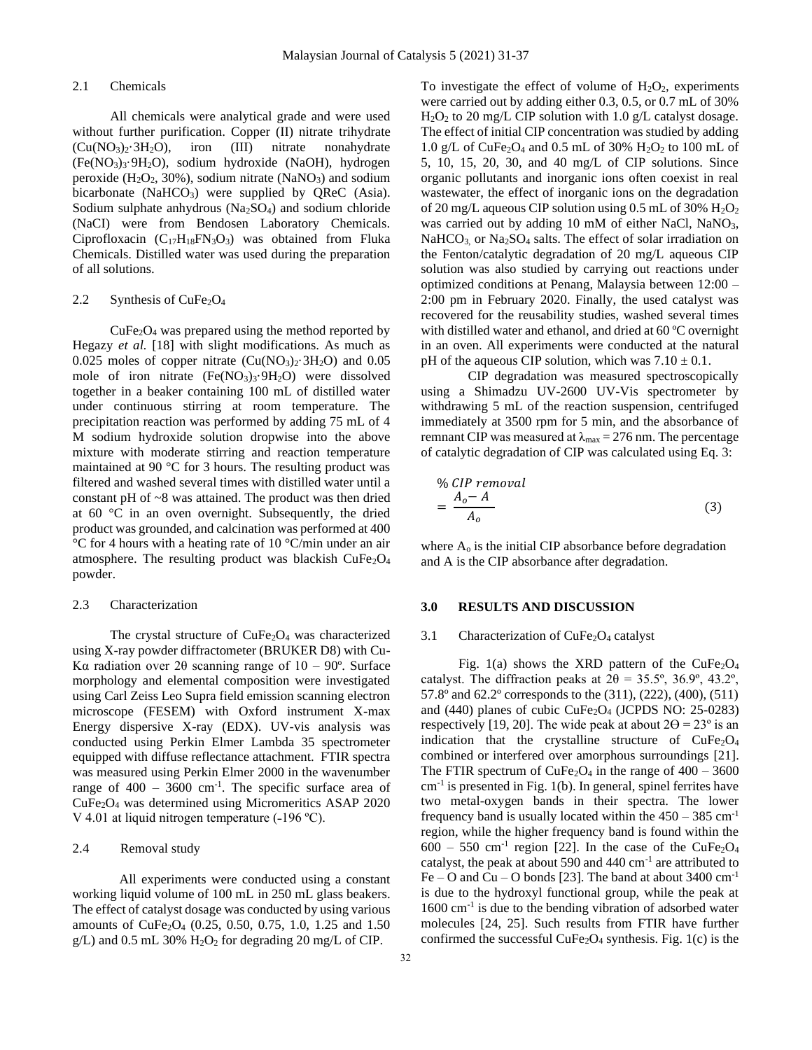#### 2.1 Chemicals

All chemicals were analytical grade and were used without further purification. Copper (II) nitrate trihydrate  $(Cu(NO<sub>3</sub>)<sub>2</sub>·3H<sub>2</sub>O)$ , iron (III) nitrate nonahydrate (Fe(NO3)3·9H2O), sodium hydroxide (NaOH), hydrogen peroxide  $(H_2O_2, 30\%)$ , sodium nitrate  $(NaNO_3)$  and sodium bicarbonate (NaHCO<sub>3</sub>) were supplied by OReC (Asia). Sodium sulphate anhydrous (Na2SO4) and sodium chloride (NaCI) were from Bendosen Laboratory Chemicals. Ciprofloxacin  $(C_{17}H_{18}FN_3O_3)$  was obtained from Fluka Chemicals. Distilled water was used during the preparation of all solutions.

## 2.2 Synthesis of  $CuFe<sub>2</sub>O<sub>4</sub>$

 $CuFe<sub>2</sub>O<sub>4</sub>$  was prepared using the method reported by Hegazy *et al.* [18] with slight modifications. As much as 0.025 moles of copper nitrate  $(Cu(NO<sub>3</sub>)<sub>2</sub>·3H<sub>2</sub>O)$  and 0.05 mole of iron nitrate  $(Fe(NO<sub>3</sub>)<sub>3</sub>·9H<sub>2</sub>O)$  were dissolved together in a beaker containing 100 mL of distilled water under continuous stirring at room temperature. The precipitation reaction was performed by adding 75 mL of 4 M sodium hydroxide solution dropwise into the above mixture with moderate stirring and reaction temperature maintained at 90 °C for 3 hours. The resulting product was filtered and washed several times with distilled water until a constant pH of ~8 was attained. The product was then dried at 60 °C in an oven overnight. Subsequently, the dried product was grounded, and calcination was performed at 400 °C for 4 hours with a heating rate of 10 °C/min under an air atmosphere. The resulting product was blackish  $CuFe<sub>2</sub>O<sub>4</sub>$ powder.

#### 2.3 Characterization

The crystal structure of  $CuFe<sub>2</sub>O<sub>4</sub>$  was characterized using X-ray powder diffractometer (BRUKER D8) with Cu-Kα radiation over  $2θ$  scanning range of  $10 - 90°$ . Surface morphology and elemental composition were investigated using Carl Zeiss Leo Supra field emission scanning electron microscope (FESEM) with Oxford instrument X-max Energy dispersive X-ray (EDX). UV-vis analysis was conducted using Perkin Elmer Lambda 35 spectrometer equipped with diffuse reflectance attachment. FTIR spectra was measured using Perkin Elmer 2000 in the wavenumber range of  $400 - 3600$  cm<sup>-1</sup>. The specific surface area of CuFe2O<sup>4</sup> was determined using Micromeritics ASAP 2020 V 4.01 at liquid nitrogen temperature  $(-196 \degree C)$ .

#### 2.4 Removal study

All experiments were conducted using a constant working liquid volume of 100 mL in 250 mL glass beakers. The effect of catalyst dosage was conducted by using various amounts of CuFe<sub>2</sub>O<sub>4</sub> (0.25, 0.50, 0.75, 1.0, 1.25 and 1.50  $g/L$ ) and 0.5 mL 30%  $H<sub>2</sub>O<sub>2</sub>$  for degrading 20 mg/L of CIP.

To investigate the effect of volume of  $H_2O_2$ , experiments were carried out by adding either 0.3, 0.5, or 0.7 mL of 30% H2O<sup>2</sup> to 20 mg/L CIP solution with 1.0 g/L catalyst dosage. The effect of initial CIP concentration was studied by adding 1.0 g/L of CuFe<sub>2</sub>O<sub>4</sub> and 0.5 mL of 30% H<sub>2</sub>O<sub>2</sub> to 100 mL of 5, 10, 15, 20, 30, and 40 mg/L of CIP solutions. Since organic pollutants and inorganic ions often coexist in real wastewater, the effect of inorganic ions on the degradation of 20 mg/L aqueous CIP solution using 0.5 mL of 30%  $H_2O_2$ was carried out by adding 10 mM of either NaCl, NaNO<sub>3</sub>,  $NaHCO<sub>3</sub>$  or Na<sub>2</sub>SO<sub>4</sub> salts. The effect of solar irradiation on the Fenton/catalytic degradation of 20 mg/L aqueous CIP solution was also studied by carrying out reactions under optimized conditions at Penang, Malaysia between 12:00 – 2:00 pm in February 2020. Finally, the used catalyst was recovered for the reusability studies, washed several times with distilled water and ethanol, and dried at 60 ºC overnight in an oven. All experiments were conducted at the natural pH of the aqueous CIP solution, which was  $7.10 \pm 0.1$ .

CIP degradation was measured spectroscopically using a Shimadzu UV-2600 UV-Vis spectrometer by withdrawing 5 mL of the reaction suspension, centrifuged immediately at 3500 rpm for 5 min, and the absorbance of remnant CIP was measured at  $\lambda_{\text{max}} = 276$  nm. The percentage of catalytic degradation of CIP was calculated using Eq. 3:

% *CIP removal*  
= 
$$
\frac{A_o - A}{A_o}
$$
 (3)

where  $A_0$  is the initial CIP absorbance before degradation and A is the CIP absorbance after degradation.

# **3.0 RESULTS AND DISCUSSION**

# 3.1 Characterization of  $CuFe<sub>2</sub>O<sub>4</sub>$  catalyst

Fig. 1(a) shows the XRD pattern of the  $CuFe<sub>2</sub>O<sub>4</sub>$ catalyst. The diffraction peaks at  $2\theta = 35.5^{\circ}$ ,  $36.9^{\circ}$ ,  $43.2^{\circ}$ , 57.8º and 62.2º corresponds to the (311), (222), (400), (511) and  $(440)$  planes of cubic CuFe<sub>2</sub>O<sub>4</sub> (JCPDS NO: 25-0283) respectively [19, 20]. The wide peak at about  $2\Theta = 23^{\circ}$  is an indication that the crystalline structure of  $CuFe<sub>2</sub>O<sub>4</sub>$ combined or interfered over amorphous surroundings [21]. The FTIR spectrum of CuFe<sub>2</sub>O<sub>4</sub> in the range of  $400 - 3600$  $cm<sup>-1</sup>$  is presented in Fig. 1(b). In general, spinel ferrites have two metal-oxygen bands in their spectra. The lower frequency band is usually located within the  $450 - 385$  cm<sup>-1</sup> region, while the higher frequency band is found within the  $600 - 550$  cm<sup>-1</sup> region [22]. In the case of the CuFe<sub>2</sub>O<sub>4</sub> catalyst, the peak at about 590 and 440 cm-1 are attributed to Fe – O and Cu – O bonds [23]. The band at about  $3400 \text{ cm}^{-1}$ is due to the hydroxyl functional group, while the peak at 1600 cm-1 is due to the bending vibration of adsorbed water molecules [24, 25]. Such results from FTIR have further confirmed the successful  $CuFe<sub>2</sub>O<sub>4</sub>$  synthesis. Fig. 1(c) is the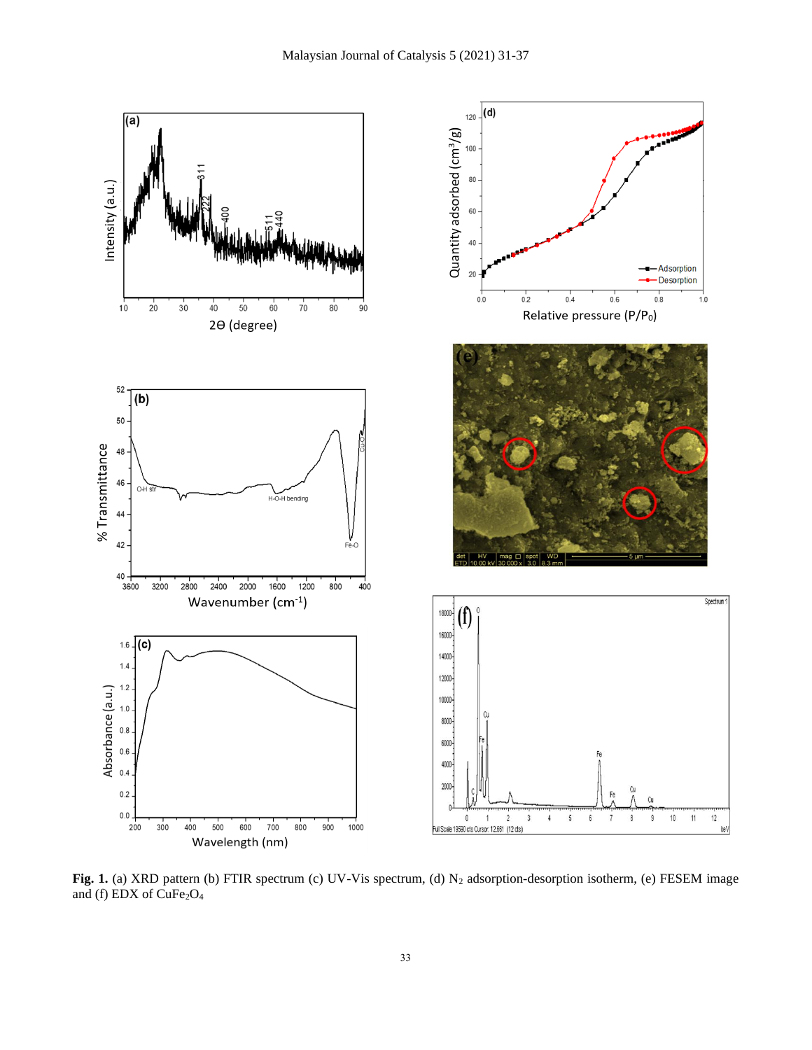

Fig. 1. (a) XRD pattern (b) FTIR spectrum (c) UV-Vis spectrum, (d) N<sub>2</sub> adsorption-desorption isotherm, (e) FESEM image and (f) EDX of CuFe<sub>2</sub>O<sub>4</sub>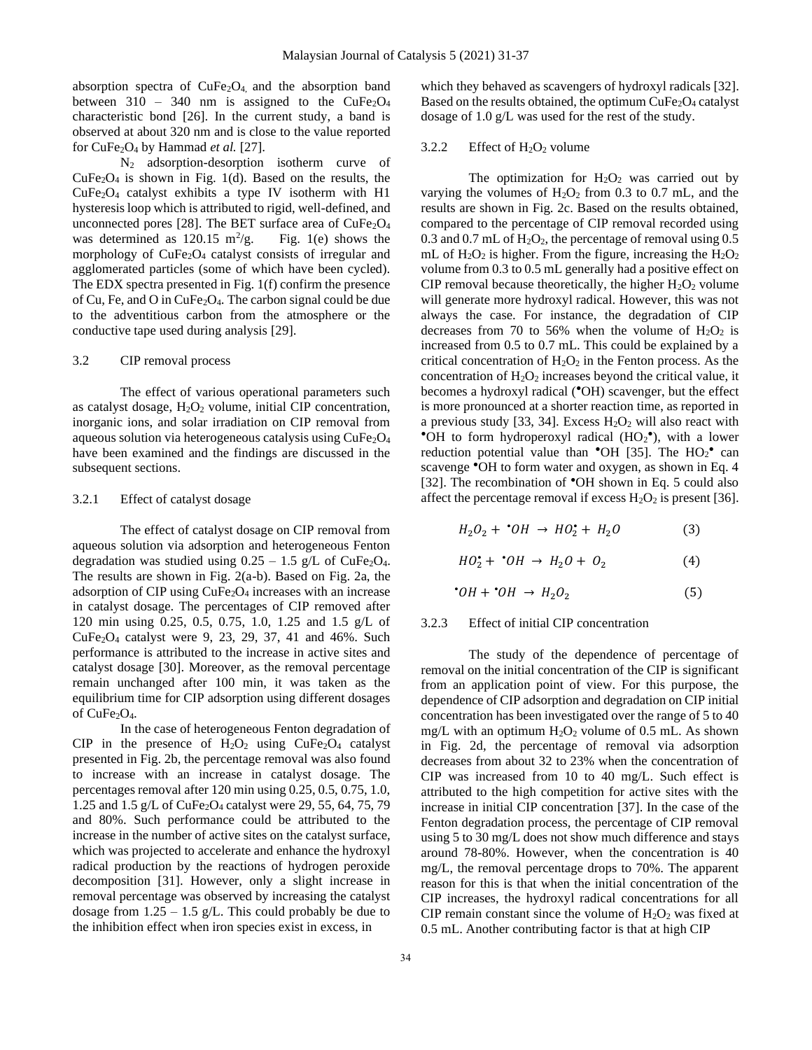absorption spectra of  $CuFe<sub>2</sub>O<sub>4</sub>$  and the absorption band between  $310 - 340$  nm is assigned to the CuFe<sub>2</sub>O<sub>4</sub> characteristic bond [26]. In the current study, a band is observed at about 320 nm and is close to the value reported for CuFe<sub>2</sub>O<sub>4</sub> by Hammad *et al.* [27].

N<sup>2</sup> adsorption-desorption isotherm curve of  $CuFe<sub>2</sub>O<sub>4</sub>$  is shown in Fig. 1(d). Based on the results, the  $CuFe<sub>2</sub>O<sub>4</sub>$  catalyst exhibits a type IV isotherm with H1 hysteresis loop which is attributed to rigid, well-defined, and unconnected pores [28]. The BET surface area of  $CuFe<sub>2</sub>O<sub>4</sub>$ was determined as  $120.15 \text{ m}^2/\text{g}$ . Fig.  $1(e)$  shows the morphology of CuFe2O<sup>4</sup> catalyst consists of irregular and agglomerated particles (some of which have been cycled). The EDX spectra presented in Fig. 1(f) confirm the presence of Cu, Fe, and O in CuFe2O4. The carbon signal could be due to the adventitious carbon from the atmosphere or the conductive tape used during analysis [29].

#### 3.2 CIP removal process

The effect of various operational parameters such as catalyst dosage, H<sub>2</sub>O<sub>2</sub> volume, initial CIP concentration, inorganic ions, and solar irradiation on CIP removal from aqueous solution via heterogeneous catalysis using  $CuFe<sub>2</sub>O<sub>4</sub>$ have been examined and the findings are discussed in the subsequent sections.

#### 3.2.1 Effect of catalyst dosage

The effect of catalyst dosage on CIP removal from aqueous solution via adsorption and heterogeneous Fenton degradation was studied using  $0.25 - 1.5$  g/L of CuFe<sub>2</sub>O<sub>4</sub>. The results are shown in Fig. 2(a-b). Based on Fig. 2a, the adsorption of CIP using  $CuFe<sub>2</sub>O<sub>4</sub>$  increases with an increase in catalyst dosage. The percentages of CIP removed after 120 min using 0.25, 0.5, 0.75, 1.0, 1.25 and 1.5 g/L of CuFe2O<sup>4</sup> catalyst were 9, 23, 29, 37, 41 and 46%. Such performance is attributed to the increase in active sites and catalyst dosage [30]. Moreover, as the removal percentage remain unchanged after 100 min, it was taken as the equilibrium time for CIP adsorption using different dosages of CuFe<sub>2</sub>O<sub>4</sub>.

In the case of heterogeneous Fenton degradation of CIP in the presence of  $H_2O_2$  using CuFe<sub>2</sub>O<sub>4</sub> catalyst presented in Fig. 2b, the percentage removal was also found to increase with an increase in catalyst dosage. The percentages removal after 120 min using 0.25, 0.5, 0.75, 1.0, 1.25 and 1.5 g/L of CuFe2O<sup>4</sup> catalyst were 29, 55, 64, 75, 79 and 80%. Such performance could be attributed to the increase in the number of active sites on the catalyst surface, which was projected to accelerate and enhance the hydroxyl radical production by the reactions of hydrogen peroxide decomposition [31]. However, only a slight increase in removal percentage was observed by increasing the catalyst dosage from  $1.25 - 1.5$  g/L. This could probably be due to the inhibition effect when iron species exist in excess, in

which they behaved as scavengers of hydroxyl radicals [32]. Based on the results obtained, the optimum  $CuFe<sub>2</sub>O<sub>4</sub>$  catalyst dosage of 1.0 g/L was used for the rest of the study.

# 3.2.2 Effect of  $H_2O_2$  volume

The optimization for  $H_2O_2$  was carried out by varying the volumes of  $H_2O_2$  from 0.3 to 0.7 mL, and the results are shown in Fig. 2c. Based on the results obtained, compared to the percentage of CIP removal recorded using 0.3 and 0.7 mL of  $H_2O_2$ , the percentage of removal using 0.5 mL of  $H_2O_2$  is higher. From the figure, increasing the  $H_2O_2$ volume from 0.3 to 0.5 mL generally had a positive effect on CIP removal because theoretically, the higher  $H_2O_2$  volume will generate more hydroxyl radical. However, this was not always the case. For instance, the degradation of CIP decreases from 70 to 56% when the volume of  $H_2O_2$  is increased from 0.5 to 0.7 mL. This could be explained by a critical concentration of  $H_2O_2$  in the Fenton process. As the concentration of  $H_2O_2$  increases beyond the critical value, it becomes a hydroxyl radical (<sup>•</sup>OH) scavenger, but the effect is more pronounced at a shorter reaction time, as reported in a previous study [33, 34]. Excess  $H_2O_2$  will also react with \*OH to form hydroperoxyl radical (HO<sub>2</sub>\*), with a lower reduction potential value than  $\bullet$ OH [35]. The HO<sub>2</sub> $\bullet$  can scavenge <sup>•</sup>OH to form water and oxygen, as shown in Eq. 4 [32]. The recombination of  $\textdegree$ OH shown in Eq. 5 could also affect the percentage removal if excess  $H_2O_2$  is present [36].

$$
H_2O_2 + \bullet OH \rightarrow HO_2^* + H_2O \tag{3}
$$

$$
HO_2^{\bullet} + {}^{\bullet}OH \rightarrow H_2O + O_2 \tag{4}
$$

$$
^{\bullet}OH + ^{\bullet}OH \rightarrow H_2O_2 \tag{5}
$$

#### 3.2.3 Effect of initial CIP concentration

The study of the dependence of percentage of removal on the initial concentration of the CIP is significant from an application point of view. For this purpose, the dependence of CIP adsorption and degradation on CIP initial concentration has been investigated over the range of 5 to 40 mg/L with an optimum  $H_2O_2$  volume of 0.5 mL. As shown in Fig. 2d, the percentage of removal via adsorption decreases from about 32 to 23% when the concentration of CIP was increased from 10 to 40 mg/L. Such effect is attributed to the high competition for active sites with the increase in initial CIP concentration [37]. In the case of the Fenton degradation process, the percentage of CIP removal using 5 to 30 mg/L does not show much difference and stays around 78-80%. However, when the concentration is 40 mg/L, the removal percentage drops to 70%. The apparent reason for this is that when the initial concentration of the CIP increases, the hydroxyl radical concentrations for all CIP remain constant since the volume of  $H_2O_2$  was fixed at 0.5 mL. Another contributing factor is that at high CIP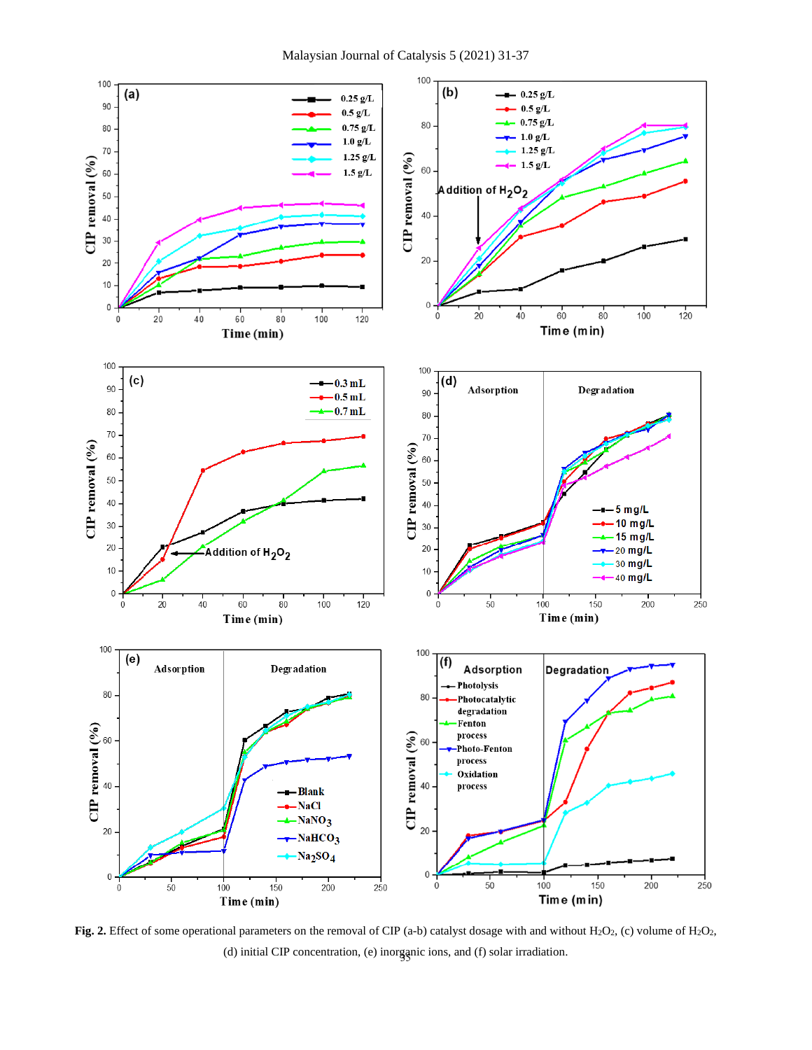

35 (d) initial CIP concentration, (e) inorganic ions, and (f) solar irradiation.**Fig. 2.** Effect of some operational parameters on the removal of CIP (a-b) catalyst dosage with and without H<sub>2</sub>O<sub>2</sub>, (c) volume of H<sub>2</sub>O<sub>2</sub>,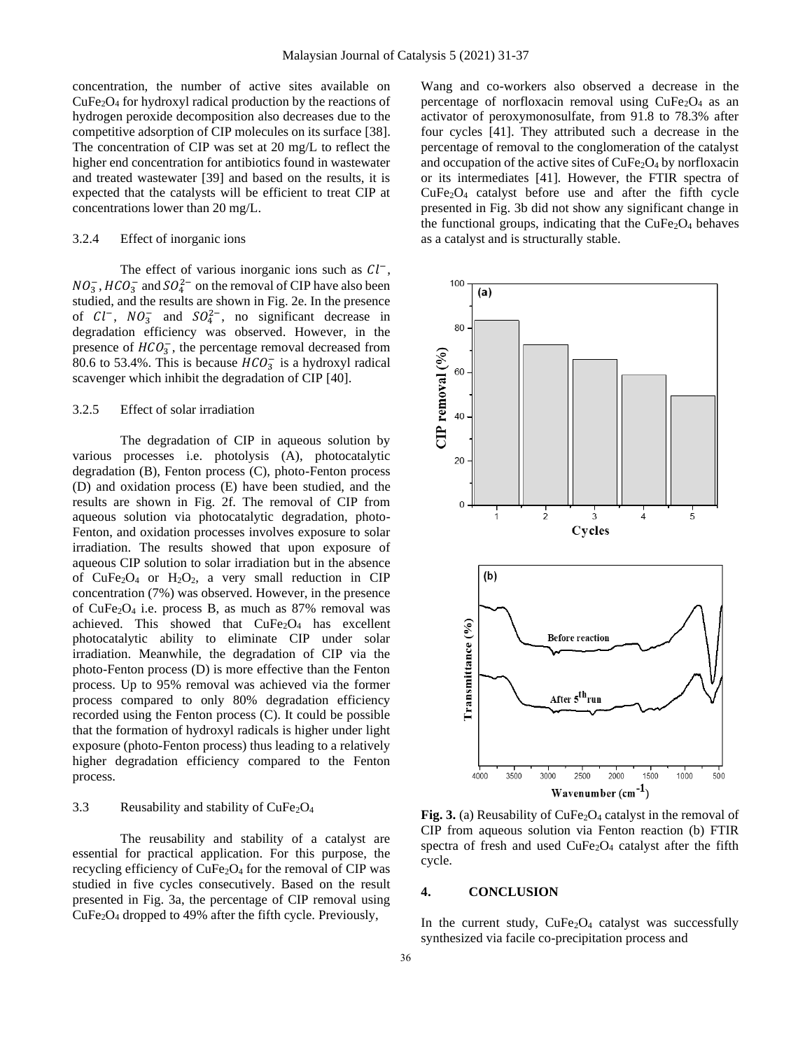concentration, the number of active sites available on CuFe2O<sup>4</sup> for hydroxyl radical production by the reactions of hydrogen peroxide decomposition also decreases due to the competitive adsorption of CIP molecules on its surface [38]. The concentration of CIP was set at 20 mg/L to reflect the higher end concentration for antibiotics found in wastewater and treated wastewater [39] and based on the results, it is expected that the catalysts will be efficient to treat CIP at concentrations lower than 20 mg/L.

#### 3.2.4 Effect of inorganic ions

The effect of various inorganic ions such as  $Cl^-$ ,  $NO_3^-$ ,  $HCO_3^-$  and  $SO_4^{2-}$  on the removal of CIP have also been studied, and the results are shown in Fig. 2e. In the presence of  $Cl^-$ ,  $NO_3^-$  and  $SO_4^{2-}$ , no significant decrease in degradation efficiency was observed. However, in the presence of  $HCO_3^-$ , the percentage removal decreased from 80.6 to 53.4%. This is because  $HCO_3^-$  is a hydroxyl radical scavenger which inhibit the degradation of CIP [40].

#### 3.2.5 Effect of solar irradiation

The degradation of CIP in aqueous solution by various processes i.e. photolysis (A), photocatalytic degradation (B), Fenton process (C), photo-Fenton process (D) and oxidation process (E) have been studied, and the results are shown in Fig. 2f. The removal of CIP from aqueous solution via photocatalytic degradation, photo-Fenton, and oxidation processes involves exposure to solar irradiation. The results showed that upon exposure of aqueous CIP solution to solar irradiation but in the absence of  $CuFe<sub>2</sub>O<sub>4</sub>$  or  $H<sub>2</sub>O<sub>2</sub>$ , a very small reduction in CIP concentration (7%) was observed. However, in the presence of  $CuFe<sub>2</sub>O<sub>4</sub>$  i.e. process B, as much as 87% removal was achieved. This showed that  $CuFe<sub>2</sub>O<sub>4</sub>$  has excellent photocatalytic ability to eliminate CIP under solar irradiation. Meanwhile, the degradation of CIP via the photo-Fenton process (D) is more effective than the Fenton process. Up to 95% removal was achieved via the former process compared to only 80% degradation efficiency recorded using the Fenton process (C). It could be possible that the formation of hydroxyl radicals is higher under light exposure (photo-Fenton process) thus leading to a relatively higher degradation efficiency compared to the Fenton process.

# 3.3 Reusability and stability of  $CuFe<sub>2</sub>O<sub>4</sub>$

The reusability and stability of a catalyst are essential for practical application. For this purpose, the recycling efficiency of CuFe2O<sup>4</sup> for the removal of CIP was studied in five cycles consecutively. Based on the result presented in Fig. 3a, the percentage of CIP removal using CuFe2O<sup>4</sup> dropped to 49% after the fifth cycle. Previously,

Wang and co-workers also observed a decrease in the percentage of norfloxacin removal using  $CuFe<sub>2</sub>O<sub>4</sub>$  as an activator of peroxymonosulfate, from 91.8 to 78.3% after four cycles [41]. They attributed such a decrease in the percentage of removal to the conglomeration of the catalyst and occupation of the active sites of  $CuFe<sub>2</sub>O<sub>4</sub>$  by norfloxacin or its intermediates [41]. However, the FTIR spectra of  $CuFe<sub>2</sub>O<sub>4</sub>$  catalyst before use and after the fifth cycle presented in Fig. 3b did not show any significant change in the functional groups, indicating that the  $CuFe<sub>2</sub>O<sub>4</sub>$  behaves as a catalyst and is structurally stable.



**Fig. 3.** (a) Reusability of CuFe<sub>2</sub>O<sub>4</sub> catalyst in the removal of CIP from aqueous solution via Fenton reaction (b) FTIR spectra of fresh and used  $CuFe<sub>2</sub>O<sub>4</sub>$  catalyst after the fifth cycle.

## **4. CONCLUSION**

In the current study,  $CuFe<sub>2</sub>O<sub>4</sub>$  catalyst was successfully synthesized via facile co-precipitation process and